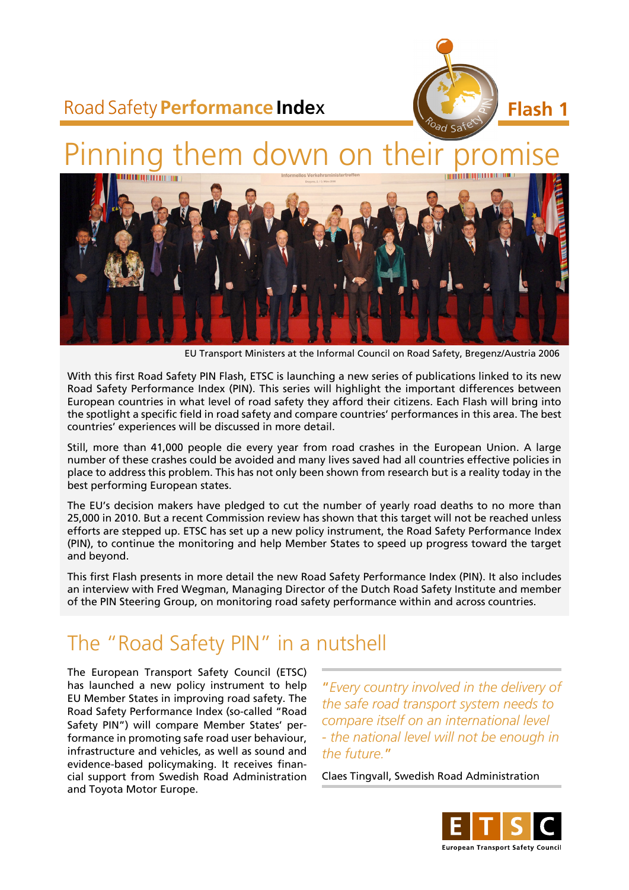

## Road Safety **Performance Inde**x

# Pinning them down on their



EU Transport Ministers at the Informal Council on Road Safety, Bregenz/Austria 2006

With this first Road Safety PIN Flash, ETSC is launching a new series of publications linked to its new Road Safety Performance Index (PIN). This series will highlight the important differences between European countries in what level of road safety they afford their citizens. Each Flash will bring into the spotlight a specific field in road safety and compare countries' performances in this area. The best countries' experiences will be discussed in more detail.

Still, more than 41,000 people die every year from road crashes in the European Union. A large number of these crashes could be avoided and many lives saved had all countries effective policies in place to address this problem. This has not only been shown from research but is a reality today in the best performing European states.

The EU's decision makers have pledged to cut the number of yearly road deaths to no more than 25,000 in 2010. But a recent Commission review has shown that this target will not be reached unless efforts are stepped up. ETSC has set up a new policy instrument, the Road Safety Performance Index (PIN), to continue the monitoring and help Member States to speed up progress toward the target and beyond.

This first Flash presents in more detail the new Road Safety Performance Index (PIN). It also includes an interview with Fred Wegman, Managing Director of the Dutch Road Safety Institute and member of the PIN Steering Group, on monitoring road safety performance within and across countries.

## The "Road Safety PIN" in a nutshell

The European Transport Safety Council (ETSC) has launched a new policy instrument to help EU Member States in improving road safety. The Road Safety Performance Index (so-called "Road Safety PIN") will compare Member States' performance in promoting safe road user behaviour, infrastructure and vehicles, as well as sound and evidence-based policymaking. It receives financial support from Swedish Road Administration and Toyota Motor Europe.

"*Every country involved in the delivery of the safe road transport system needs to compare itself on an international level - the national level will not be enough in the future.*"

Claes Tingvall, Swedish Road Administration

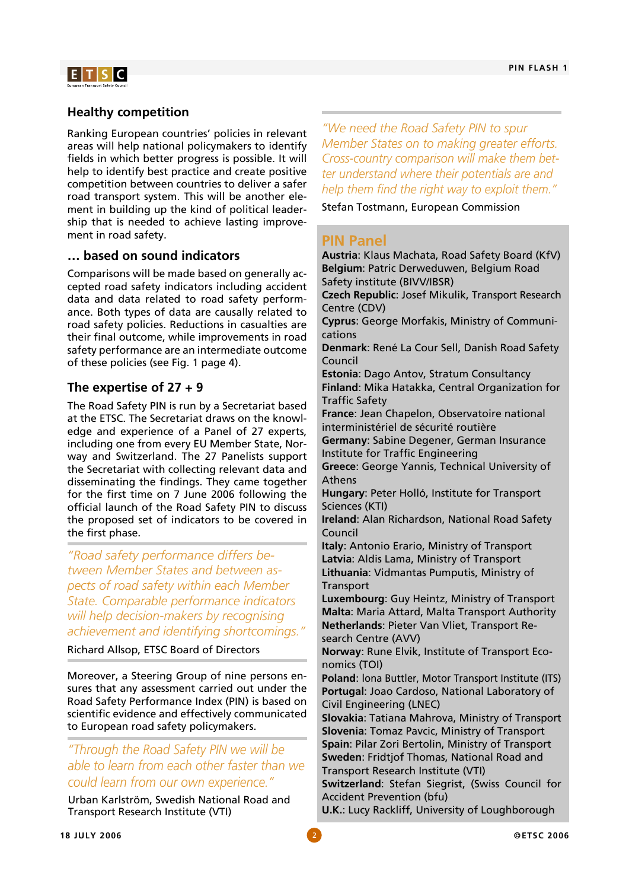

### **Healthy competition**

Ranking European countries' policies in relevant areas will help national policymakers to identify fields in which better progress is possible. It will help to identify best practice and create positive competition between countries to deliver a safer road transport system. This will be another element in building up the kind of political leadership that is needed to achieve lasting improvement in road safety.

#### **… based on sound indicators**

Comparisons will be made based on generally accepted road safety indicators including accident data and data related to road safety performance. Both types of data are causally related to road safety policies. Reductions in casualties are their final outcome, while improvements in road safety performance are an intermediate outcome of these policies (see Fig. 1 page 4).

#### **The expertise of 27 + 9**

The Road Safety PIN is run by a Secretariat based at the ETSC. The Secretariat draws on the knowledge and experience of a Panel of 27 experts, including one from every EU Member State, Norway and Switzerland. The 27 Panelists support the Secretariat with collecting relevant data and disseminating the findings. They came together for the first time on 7 June 2006 following the official launch of the Road Safety PIN to discuss the proposed set of indicators to be covered in the first phase.

*"Road safety performance differs between Member States and between aspects of road safety within each Member State. Comparable performance indicators will help decision-makers by recognising achievement and identifying shortcomings."* 

Richard Allsop, ETSC Board of Directors

Moreover, a Steering Group of nine persons ensures that any assessment carried out under the Road Safety Performance Index (PIN) is based on scientific evidence and effectively communicated to European road safety policymakers.

### *"Through the Road Safety PIN we will be able to learn from each other faster than we could learn from our own experience."*

Urban Karlström, Swedish National Road and Transport Research Institute (VTI)

*"We need the Road Safety PIN to spur Member States on to making greater efforts. Cross-country comparison will make them better understand where their potentials are and help them find the right way to exploit them."* 

Stefan Tostmann, European Commission

#### **PIN Panel**

**Austria**: Klaus Machata, Road Safety Board (KfV) **Belgium**: Patric Derweduwen, Belgium Road Safety institute (BIVV/IBSR) **Czech Republic**: Josef Mikulik, Transport Research Centre (CDV) **Cyprus**: George Morfakis, Ministry of Communications **Denmark**: René La Cour Sell, Danish Road Safety Council **Estonia**: Dago Antov, Stratum Consultancy **Finland**: Mika Hatakka, Central Organization for Traffic Safety **France**: Jean Chapelon, Observatoire national interministériel de sécurité routière **Germany**: Sabine Degener, German Insurance Institute for Traffic Engineering **Greece**: George Yannis, Technical University of Athens **Hungary**: Peter Holló, Institute for Transport Sciences (KTI) **Ireland**: Alan Richardson, National Road Safety Council **Italy**: Antonio Erario, Ministry of Transport **Latvia**: Aldis Lama, Ministry of Transport **Lithuania**: Vidmantas Pumputis, Ministry of **Transport Luxembourg**: Guy Heintz, Ministry of Transport **Malta**: Maria Attard, Malta Transport Authority **Netherlands**: Pieter Van Vliet, Transport Research Centre (AVV) **Norway**: Rune Elvik, Institute of Transport Economics (TOI) **Poland**: lona Buttler, Motor Transport Institute (ITS) **Portugal**: Joao Cardoso, National Laboratory of Civil Engineering (LNEC) **Slovakia**: Tatiana Mahrova, Ministry of Transport **Slovenia**: Tomaz Pavcic, Ministry of Transport **Spain**: Pilar Zori Bertolin, Ministry of Transport **Sweden**: Fridtjof Thomas, National Road and Transport Research Institute (VTI) **Switzerland**: Stefan Siegrist, (Swiss Council for

Accident Prevention (bfu)

**U.K.**: Lucy Rackliff, University of Loughborough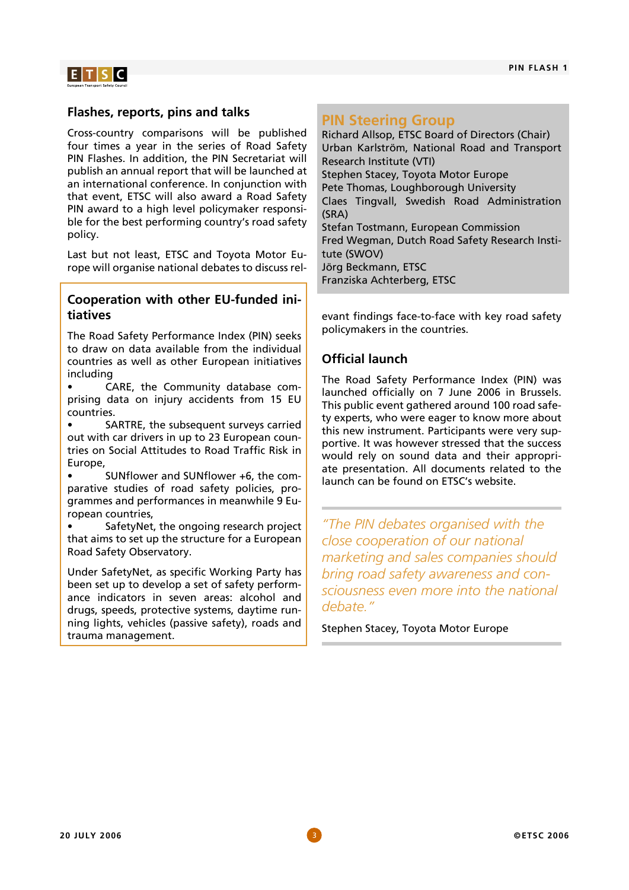

#### **Flashes, reports, pins and talks**

Cross-country comparisons will be published four times a year in the series of Road Safety PIN Flashes. In addition, the PIN Secretariat will publish an annual report that will be launched at an international conference. In conjunction with that event, ETSC will also award a Road Safety PIN award to a high level policymaker responsible for the best performing country's road safety policy.

Last but not least, ETSC and Toyota Motor Europe will organise national debates to discuss rel-

#### **Cooperation with other EU-funded initiatives**

The Road Safety Performance Index (PIN) seeks to draw on data available from the individual countries as well as other European initiatives including

• CARE, the Community database comprising data on injury accidents from 15 EU countries.

SARTRE, the subsequent surveys carried out with car drivers in up to 23 European countries on Social Attitudes to Road Traffic Risk in **Europe** 

• SUNflower and SUNflower +6, the comparative studies of road safety policies, programmes and performances in meanwhile 9 European countries,

SafetyNet, the ongoing research project that aims to set up the structure for a European Road Safety Observatory.

Under SafetyNet, as specific Working Party has been set up to develop a set of safety performance indicators in seven areas: alcohol and drugs, speeds, protective systems, daytime running lights, vehicles (passive safety), roads and trauma management.

### **PIN Steering Group**

Richard Allsop, ETSC Board of Directors (Chair) Urban Karlström, National Road and Transport Research Institute (VTI) Stephen Stacey, Toyota Motor Europe Pete Thomas, Loughborough University Claes Tingvall, Swedish Road Administration (SRA) Stefan Tostmann, European Commission Fred Wegman, Dutch Road Safety Research Institute (SWOV) Jörg Beckmann, ETSC Franziska Achterberg, ETSC

evant findings face-to-face with key road safety policymakers in the countries.

### **Official launch**

The Road Safety Performance Index (PIN) was launched officially on 7 June 2006 in Brussels. This public event gathered around 100 road safety experts, who were eager to know more about this new instrument. Participants were very supportive. It was however stressed that the success would rely on sound data and their appropriate presentation. All documents related to the launch can be found on ETSC's website.

*"The PIN debates organised with the close cooperation of our national marketing and sales companies should bring road safety awareness and consciousness even more into the national debate."* 

Stephen Stacey, Toyota Motor Europe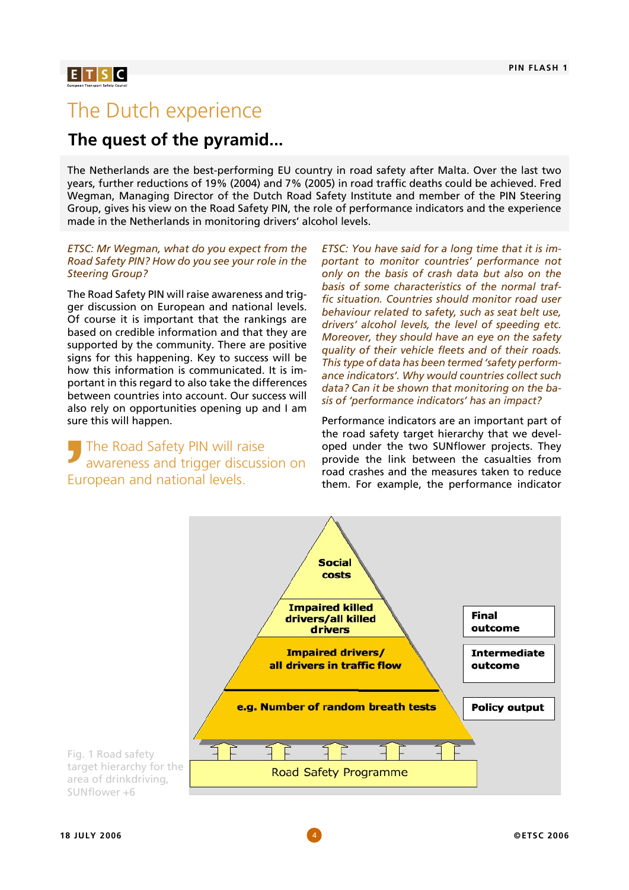## $E[T|S|C]$

## The Dutch experience

## **The quest of the pyramid...**

The Netherlands are the best-performing EU country in road safety after Malta. Over the last two years, further reductions of 19% (2004) and 7% (2005) in road traffic deaths could be achieved. Fred Wegman, Managing Director of the Dutch Road Safety Institute and member of the PIN Steering Group, gives his view on the Road Safety PIN, the role of performance indicators and the experience made in the Netherlands in monitoring drivers' alcohol levels.

#### *ETSC: Mr Wegman, what do you expect from the Road Safety PIN? How do you see your role in the Steering Group?*

The Road Safety PIN will raise awareness and trigger discussion on European and national levels. Of course it is important that the rankings are based on credible information and that they are supported by the community. There are positive signs for this happening. Key to success will be how this information is communicated. It is important in this regard to also take the differences between countries into account. Our success will also rely on opportunities opening up and I am sure this will happen.

## The Road Safety PIN will raise awareness and trigger discussion on European and national levels.

*ETSC: You have said for a long time that it is important to monitor countries' performance not only on the basis of crash data but also on the basis of some characteristics of the normal traffic situation. Countries should monitor road user behaviour related to safety, such as seat belt use, drivers' alcohol levels, the level of speeding etc. Moreover, they should have an eye on the safety quality of their vehicle fleets and of their roads. This type of data has been termed 'safety performance indicators'. Why would countries collect such data? Can it be shown that monitoring on the basis of 'performance indicators' has an impact?* 

Performance indicators are an important part of the road safety target hierarchy that we developed under the two SUNflower projects. They provide the link between the casualties from road crashes and the measures taken to reduce them. For example, the performance indicator



Fig. 1 Road safety target hierarchy for the area of drinkdriving, SUNflower +6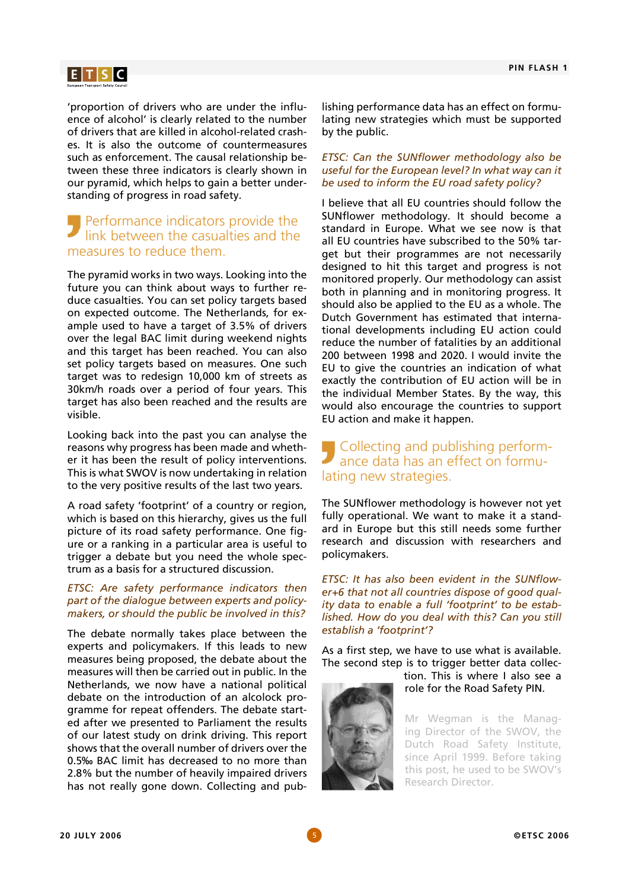## $E[T|S|C]$

'proportion of drivers who are under the influence of alcohol' is clearly related to the number of drivers that are killed in alcohol-related crashes. It is also the outcome of countermeasures such as enforcement. The causal relationship between these three indicators is clearly shown in our pyramid, which helps to gain a better understanding of progress in road safety.

## Performance indicators provide the link between the casualties and the measures to reduce them.

The pyramid works in two ways. Looking into the future you can think about ways to further reduce casualties. You can set policy targets based on expected outcome. The Netherlands, for example used to have a target of 3.5% of drivers over the legal BAC limit during weekend nights and this target has been reached. You can also set policy targets based on measures. One such target was to redesign 10,000 km of streets as 30km/h roads over a period of four years. This target has also been reached and the results are visible.

Looking back into the past you can analyse the reasons why progress has been made and whether it has been the result of policy interventions. This is what SWOV is now undertaking in relation to the very positive results of the last two years.

A road safety 'footprint' of a country or region, which is based on this hierarchy, gives us the full picture of its road safety performance. One figure or a ranking in a particular area is useful to trigger a debate but you need the whole spectrum as a basis for a structured discussion.

#### *ETSC: Are safety performance indicators then part of the dialogue between experts and policymakers, or should the public be involved in this?*

The debate normally takes place between the experts and policymakers. If this leads to new measures being proposed, the debate about the measures will then be carried out in public. In the Netherlands, we now have a national political debate on the introduction of an alcolock programme for repeat offenders. The debate started after we presented to Parliament the results of our latest study on drink driving. This report shows that the overall number of drivers over the 0.5‰ BAC limit has decreased to no more than 2.8% but the number of heavily impaired drivers has not really gone down. Collecting and pub-

lishing performance data has an effect on formulating new strategies which must be supported by the public.

#### *ETSC: Can the SUNflower methodology also be useful for the European level? In what way can it be used to inform the EU road safety policy?*

I believe that all EU countries should follow the SUNflower methodology. It should become a standard in Europe. What we see now is that all EU countries have subscribed to the 50% target but their programmes are not necessarily designed to hit this target and progress is not monitored properly. Our methodology can assist both in planning and in monitoring progress. It should also be applied to the EU as a whole. The Dutch Government has estimated that international developments including EU action could reduce the number of fatalities by an additional 200 between 1998 and 2020. I would invite the EU to give the countries an indication of what exactly the contribution of EU action will be in the individual Member States. By the way, this would also encourage the countries to support EU action and make it happen.

## Collecting and publishing performance data has an effect on formulating new strategies.

The SUNflower methodology is however not yet fully operational. We want to make it a standard in Europe but this still needs some further research and discussion with researchers and policymakers.

*ETSC: It has also been evident in the SUNflower+6 that not all countries dispose of good quality data to enable a full 'footprint' to be established. How do you deal with this? Can you still establish a 'footprint'?*

As a first step, we have to use what is available. The second step is to trigger better data collec-

tion. This is where I also see a role for the Road Safety PIN.

Mr Wegman is the Managing Director of the SWOV, the Dutch Road Safety Institute, since April 1999. Before taking this post, he used to be SWOV's Research Director.